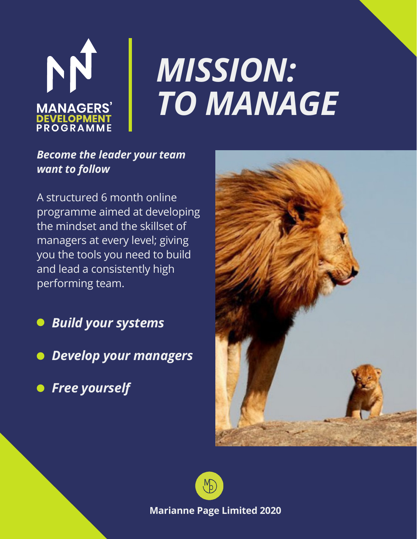

# *MISSION: TO MANAGE*

#### *Become the leader your team want to follow*

A structured 6 month online programme aimed at developing the mindset and the skillset of managers at every level; giving you the tools you need to build and lead a consistently high performing team.

- *Build your systems*
- *Develop your managers*
- **•** Free yourself





**Marianne Page Limited 2020**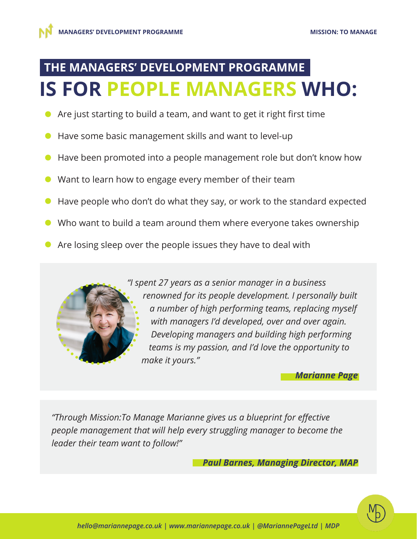#### **THE MANAGERS' DEVELOPMENT PROGRAMME IS FOR PEOPLE MANAGERS WHO:**

- Are just starting to build a team, and want to get it right first time
- Have some basic management skills and want to level-up  $\bullet$
- Have been promoted into a people management role but don't know how  $\bullet$
- Want to learn how to engage every member of their team
- Have people who don't do what they say, or work to the standard expected  $\bullet$
- Who want to build a team around them where everyone takes ownership
- Are losing sleep over the people issues they have to deal with

*"I spent 27 years as a senior manager in a business renowned for its people development. I personally built a number of high performing teams, replacing myself with managers I'd developed, over and over again. Developing managers and building high performing teams is my passion, and I'd love the opportunity to make it yours."*

*Marianne Page*

*"Through Mission:To Manage Marianne gives us a blueprint for effective people management that will help every struggling manager to become the leader their team want to follow!"*

*Paul Barnes, Managing Director, MAP*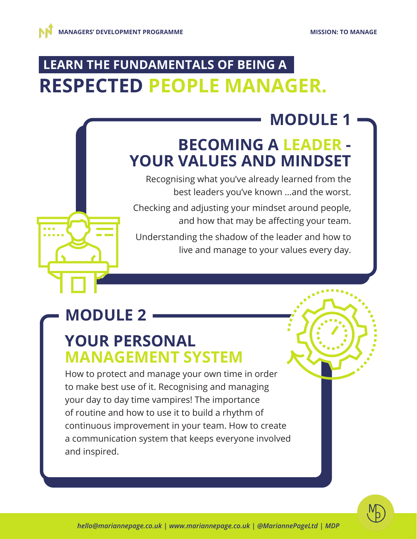## **LEARN THE FUNDAMENTALS OF BEING A RESPECTED PEOPLE MANAGER.**

## **MODULE 1**

#### **BECOMING A LEADER - YOUR VALUES AND MINDSET**

Recognising what you've already learned from the best leaders you've known ...and the worst.

Checking and adjusting your mindset around people, and how that may be affecting your team.

Understanding the shadow of the leader and how to live and manage to your values every day.

## **MODULE 2**

#### **YOUR PERSONAL MANAGEMENT SYSTEM**

How to protect and manage your own time in order to make best use of it. Recognising and managing your day to day time vampires! The importance of routine and how to use it to build a rhythm of continuous improvement in your team. How to create a communication system that keeps everyone involved and inspired.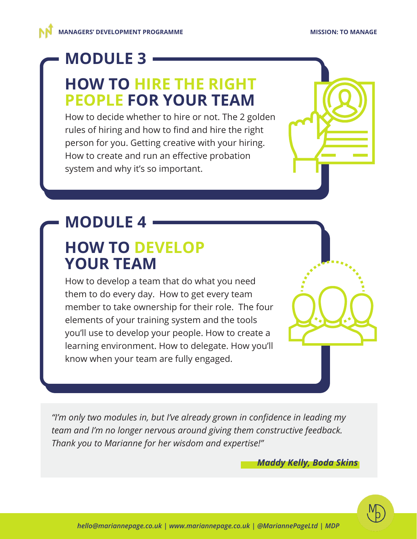#### **MODULE 3**

#### **HOW TO HIRE THE RIGHT PEOPLE FOR YOUR TEAM**

How to decide whether to hire or not. The 2 golden rules of hiring and how to find and hire the right person for you. Getting creative with your hiring. How to create and run an effective probation system and why it's so important.

# **MODULE 4**

#### **HOW TO DEVELOP YOUR TEAM**

How to develop a team that do what you need them to do every day. How to get every team member to take ownership for their role. The four elements of your training system and the tools you'll use to develop your people. How to create a learning environment. How to delegate. How you'll know when your team are fully engaged.

*"I'm only two modules in, but I've already grown in confidence in leading my team and I'm no longer nervous around giving them constructive feedback. Thank you to Marianne for her wisdom and expertise!"*

*Maddy Kelly, Boda Skins*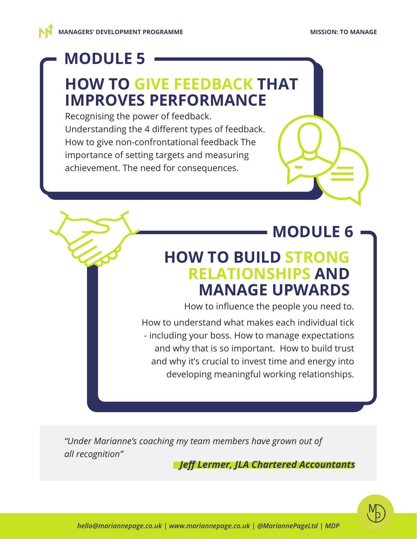#### **MODULE 5**

#### **HOW TO GIVE FEEDBACK THAT IMPROVES PERFORMANCE**

Recognising the power of feedback. Understanding the 4 different types of feedback. How to give non-confrontational feedback The importance of setting targets and measuring achievement. The need for consequences.

#### **MODULE 6**

#### **HOW TO BUILD STRONG RELATIONSHIPS AND MANAGE UPWARDS**

How to influence the people you need to.

How to understand what makes each individual tick - including your boss. How to manage expectations and why that is so important. How to build trust and why it's crucial to invest time and energy into developing meaningful working relationships.

*"Under Marianne's coaching my team members have grown out of all recognition"*

*Jeff Lermer, JLA Chartered Accountants*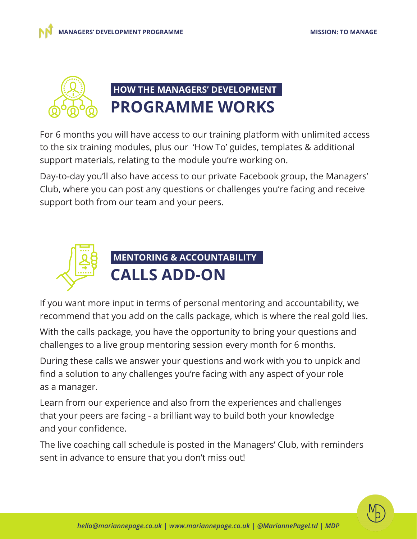



For 6 months you will have access to our training platform with unlimited access to the six training modules, plus our 'How To' guides, templates & additional support materials, relating to the module you're working on.

Day-to-day you'll also have access to our private Facebook group, the Managers' Club, where you can post any questions or challenges you're facing and receive support both from our team and your peers.



If you want more input in terms of personal mentoring and accountability, we recommend that you add on the calls package, which is where the real gold lies.

With the calls package, you have the opportunity to bring your questions and challenges to a live group mentoring session every month for 6 months.

During these calls we answer your questions and work with you to unpick and find a solution to any challenges you're facing with any aspect of your role as a manager.

Learn from our experience and also from the experiences and challenges that your peers are facing - a brilliant way to build both your knowledge and your confidence.

The live coaching call schedule is posted in the Managers' Club, with reminders sent in advance to ensure that you don't miss out!